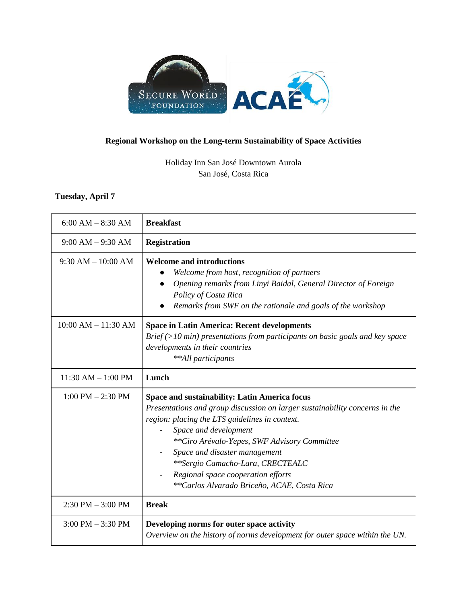

## **Regional Workshop on the Long-term Sustainability of Space Activities**

Holiday Inn San José Downtown Aurola San José, Costa Rica

## **Tuesday, April 7**

| $6:00 AM - 8:30 AM$     | <b>Breakfast</b>                                                                                                                                                                                                                                                                                                                                                                                                         |
|-------------------------|--------------------------------------------------------------------------------------------------------------------------------------------------------------------------------------------------------------------------------------------------------------------------------------------------------------------------------------------------------------------------------------------------------------------------|
| $9:00 AM - 9:30 AM$     | <b>Registration</b>                                                                                                                                                                                                                                                                                                                                                                                                      |
| $9:30 AM - 10:00 AM$    | <b>Welcome and introductions</b><br>Welcome from host, recognition of partners<br>Opening remarks from Linyi Baidal, General Director of Foreign<br>Policy of Costa Rica<br>Remarks from SWF on the rationale and goals of the workshop                                                                                                                                                                                  |
| $10:00$ AM $- 11:30$ AM | <b>Space in Latin America: Recent developments</b><br>$Brief (>10 min)$ presentations from participants on basic goals and key space<br>developments in their countries<br>**All participants                                                                                                                                                                                                                            |
| $11:30$ AM $- 1:00$ PM  | Lunch                                                                                                                                                                                                                                                                                                                                                                                                                    |
| $1:00$ PM $- 2:30$ PM   | <b>Space and sustainability: Latin America focus</b><br>Presentations and group discussion on larger sustainability concerns in the<br>region: placing the LTS guidelines in context.<br>Space and development<br>**Ciro Arévalo-Yepes, SWF Advisory Committee<br>Space and disaster management<br>**Sergio Camacho-Lara, CRECTEALC<br>Regional space cooperation efforts<br>**Carlos Alvarado Briceño, ACAE, Costa Rica |
| $2:30$ PM $-3:00$ PM    | <b>Break</b>                                                                                                                                                                                                                                                                                                                                                                                                             |
| $3:00$ PM $-3:30$ PM    | Developing norms for outer space activity<br>Overview on the history of norms development for outer space within the UN.                                                                                                                                                                                                                                                                                                 |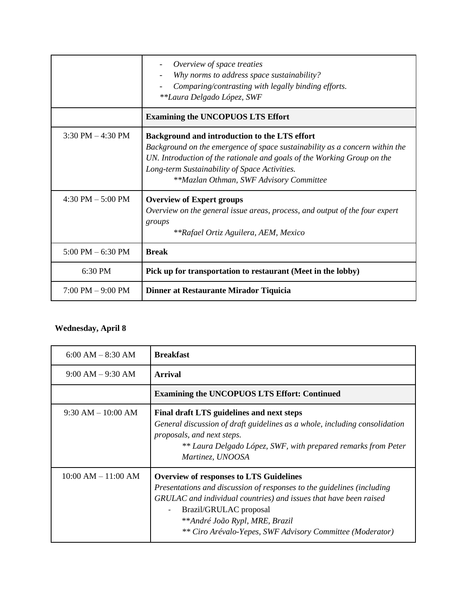|                                     | Overview of space treaties<br>Why norms to address space sustainability?<br>Comparing/contrasting with legally binding efforts.<br>**Laura Delgado López, SWF                                                                                                                                       |
|-------------------------------------|-----------------------------------------------------------------------------------------------------------------------------------------------------------------------------------------------------------------------------------------------------------------------------------------------------|
|                                     | <b>Examining the UNCOPUOS LTS Effort</b>                                                                                                                                                                                                                                                            |
| $3:30$ PM $-4:30$ PM                | Background and introduction to the LTS effort<br>Background on the emergence of space sustainability as a concern within the<br>UN. Introduction of the rationale and goals of the Working Group on the<br>Long-term Sustainability of Space Activities.<br>**Mazlan Othman, SWF Advisory Committee |
| 4:30 PM $-$ 5:00 PM                 | <b>Overview of Expert groups</b><br>Overview on the general issue areas, process, and output of the four expert<br>groups<br>**Rafael Ortiz Aguilera, AEM, Mexico                                                                                                                                   |
| $5:00$ PM $-6:30$ PM                | <b>Break</b>                                                                                                                                                                                                                                                                                        |
| 6:30 PM                             | Pick up for transportation to restaurant (Meet in the lobby)                                                                                                                                                                                                                                        |
| $7:00 \text{ PM} - 9:00 \text{ PM}$ | Dinner at Restaurante Mirador Tiquicia                                                                                                                                                                                                                                                              |

## **Wednesday, April 8**

| $6:00 AM - 8:30 AM$     | <b>Breakfast</b>                                                                                                                                                                                                                                                                                                                                   |
|-------------------------|----------------------------------------------------------------------------------------------------------------------------------------------------------------------------------------------------------------------------------------------------------------------------------------------------------------------------------------------------|
| $9:00 AM - 9:30 AM$     | <b>Arrival</b>                                                                                                                                                                                                                                                                                                                                     |
|                         | <b>Examining the UNCOPUOS LTS Effort: Continued</b>                                                                                                                                                                                                                                                                                                |
| $9:30 AM - 10:00 AM$    | Final draft LTS guidelines and next steps<br>General discussion of draft guidelines as a whole, including consolidation<br>proposals, and next steps.<br>** Laura Delgado López, SWF, with prepared remarks from Peter<br>Martinez, UNOOSA                                                                                                         |
| $10:00$ AM $- 11:00$ AM | <b>Overview of responses to LTS Guidelines</b><br>Presentations and discussion of responses to the guidelines (including<br>GRULAC and individual countries) and issues that have been raised<br>Brazil/GRULAC proposal<br>$\overline{\phantom{a}}$<br>**André João Rypl, MRE, Brazil<br>** Ciro Arévalo-Yepes, SWF Advisory Committee (Moderator) |